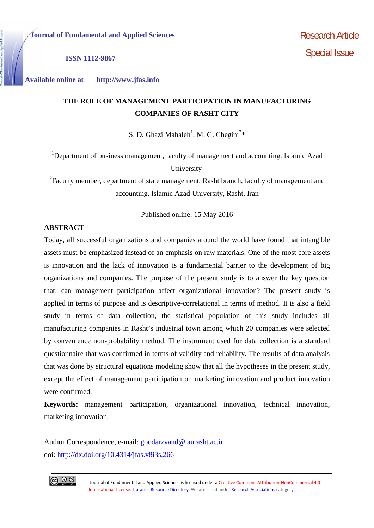**ISSN 1112-9867**

**Available online at http://www.jfas.info**

# **THE ROLE OF MANAGEMENT PARTICIPATION IN MANUFACTURING COMPANIES OF RASHT CITY**

S. D. Ghazi Mahaleh<sup>1</sup>, M. G. Chegini<sup>2\*</sup>

<sup>1</sup>Department of business management, faculty of management and accounting, Islamic Azad University

<sup>2</sup>Faculty member, department of state management, Rasht branch, faculty of management and accounting, Islamic Azad University, Rasht, Iran

Published online: 15 May 2016

## **ABSTRACT**

Today, all successful organizations and companies around the world have found that intangible assets must be emphasized instead of an emphasis on raw materials. One of the most core assets is innovation and the lack of innovation is a fundamental barrier to the development of big organizations and companies. The purpose of the present study is to answer the key question that: can management participation affect organizational innovation? The present study is applied in terms of purpose and is descriptive-correlational in terms of method. It is also a field study in terms of data collection, the statistical population of this study includes all manufacturing companies in Rasht's industrial town among which 20 companies were selected by convenience non-probability method. The instrument used for data collection is a standard questionnaire that was confirmed in terms of validity and reliability. The results of data analysis that was done by structural equations modeling show that all the hypotheses in the present study, except the effect of management participation on marketing innovation and product innovation were confirmed.

**Keywords:** management participation, organizational innovation, technical innovation, marketing innovation.

Author Correspondence, e-mail: goodarzvand@iaurasht.ac.ir doi: http://dx.doi.org/10.4314/jfas.v8i3s.266



Journal of Fundamental and Applied Sciences is licensed under a Creative Commons Attribution-NonCommercial 4.0 International License. Libraries Resource Directory. We are listed under Research Associations category.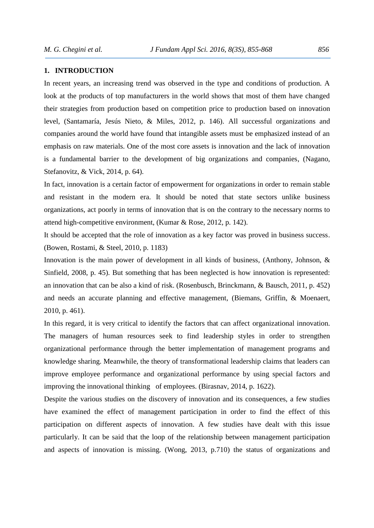#### **1. INTRODUCTION**

In recent years, an increasing trend was observed in the type and conditions of production. A look at the products of top manufacturers in the world shows that most of them have changed their strategies from production based on competition price to production based on innovation level, (Santamaría, Jesús Nieto, & Miles, 2012, p. 146). All successful organizations and companies around the world have found that intangible assets must be emphasized instead of an emphasis on raw materials. One of the most core assets is innovation and the lack of innovation is a fundamental barrier to the development of big organizations and companies, (Nagano, Stefanovitz, & Vick, 2014, p. 64).

In fact, innovation is a certain factor of empowerment for organizations in order to remain stable and resistant in the modern era. It should be noted that state sectors unlike business organizations, act poorly in terms of innovation that is on the contrary to the necessary norms to attend high-competitive environment, (Kumar & Rose, 2012, p. 142).

It should be accepted that the role of innovation as a key factor was proved in business success. (Bowen, Rostami, & Steel, 2010, p. 1183)

Innovation is the main power of development in all kinds of business, (Anthony, Johnson, & Sinfield, 2008, p. 45). But something that has been neglected is how innovation is represented: an innovation that can be also a kind of risk. (Rosenbusch, Brinckmann, & Bausch, 2011, p. 452) and needs an accurate planning and effective management, (Biemans, Griffin, & Moenaert, 2010, p. 461).

In this regard, it is very critical to identify the factors that can affect organizational innovation. The managers of human resources seek to find leadership styles in order to strengthen organizational performance through the better implementation of management programs and knowledge sharing. Meanwhile, the theory of transformational leadership claims that leaders can improve employee performance and organizational performance by using special factors and improving the innovational thinking of employees. (Birasnav, 2014, p. 1622).

Despite the various studies on the discovery of innovation and its consequences, a few studies have examined the effect of management participation in order to find the effect of this participation on different aspects of innovation. A few studies have dealt with this issue particularly. It can be said that the loop of the relationship between management participation and aspects of innovation is missing. (Wong, 2013, p.710) the status of organizations and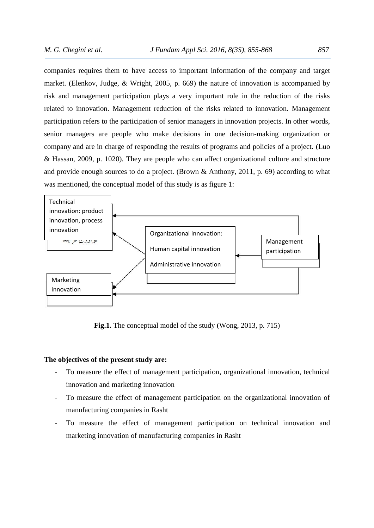companies requires them to have access to important information of the company and target market. (Elenkov, Judge, & Wright, 2005, p. 669) the nature of innovation is accompanied by risk and management participation plays a very important role in the reduction of the risks related to innovation. Management reduction of the risks related to innovation. Management participation refers to the participation of senior managers in innovation projects. In other words, senior managers are people who make decisions in one decision-making organization or company and are in charge of responding the results of programs and policies of a project. (Luo & Hassan, 2009, p. 1020). They are people who can affect organizational culture and structure and provide enough sources to do a project. (Brown & Anthony, 2011, p. 69) according to what was mentioned, the conceptual model of this study is as figure 1:



**Fig.1.** The conceptual model of the study (Wong, 2013, p. 715)

### **The objectives of the present study are:**

- To measure the effect of management participation, organizational innovation, technical innovation and marketing innovation
- To measure the effect of management participation on the organizational innovation of manufacturing companies in Rasht
- To measure the effect of management participation on technical innovation and marketing innovation of manufacturing companies in Rasht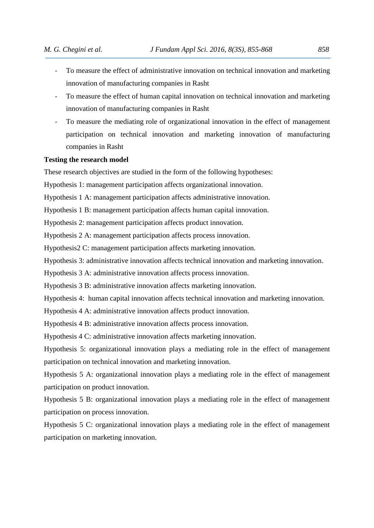- To measure the effect of administrative innovation on technical innovation and marketing innovation of manufacturing companies in Rasht
- To measure the effect of human capital innovation on technical innovation and marketing innovation of manufacturing companies in Rasht
- To measure the mediating role of organizational innovation in the effect of management participation on technical innovation and marketing innovation of manufacturing companies in Rasht

#### **Testing the research model**

These research objectives are studied in the form of the following hypotheses:

Hypothesis 1: management participation affects organizational innovation.

Hypothesis 1 A: management participation affects administrative innovation.

Hypothesis 1 B: management participation affects human capital innovation.

Hypothesis 2: management participation affects product innovation.

Hypothesis 2 A: management participation affects process innovation.

Hypothesis2 C: management participation affects marketing innovation.

Hypothesis 3: administrative innovation affects technical innovation and marketing innovation.

Hypothesis 3 A: administrative innovation affects process innovation.

Hypothesis 3 B: administrative innovation affects marketing innovation.

Hypothesis 4: human capital innovation affects technical innovation and marketing innovation.

Hypothesis 4 A: administrative innovation affects product innovation.

Hypothesis 4 B: administrative innovation affects process innovation.

Hypothesis 4 C: administrative innovation affects marketing innovation.

Hypothesis 5: organizational innovation plays a mediating role in the effect of management participation on technical innovation and marketing innovation.

Hypothesis 5 A: organizational innovation plays a mediating role in the effect of management participation on product innovation.

Hypothesis 5 B: organizational innovation plays a mediating role in the effect of management participation on process innovation.

Hypothesis 5 C: organizational innovation plays a mediating role in the effect of management participation on marketing innovation.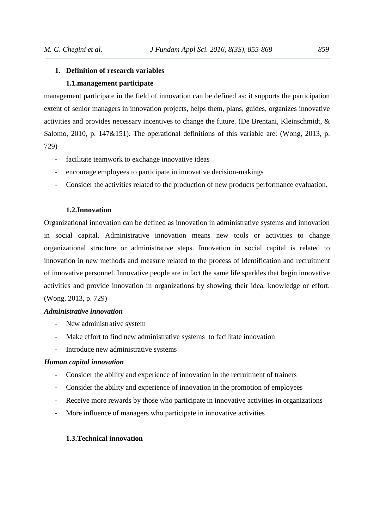## **1. Definition of research variables 1.1.management participate**

management participate in the field of innovation can be defined as: it supports the participation extent of senior managers in innovation projects, helps them, plans, guides, organizes innovative activities and provides necessary incentives to change the future. (De Brentani, Kleinschmidt, & Salomo, 2010, p. 147 $\&$ 151). The operational definitions of this variable are: (Wong, 2013, p. 729)

- facilitate teamwork to exchange innovative ideas
- encourage employees to participate in innovative decision-makings
- Consider the activities related to the production of new products performance evaluation.

## **1.2.Innovation**

Organizational innovation can be defined as innovation in administrative systems and innovation in social capital. Administrative innovation means new tools or activities to change organizational structure or administrative steps. Innovation in social capital is related to innovation in new methods and measure related to the process of identification and recruitment of innovative personnel. Innovative people are in fact the same life sparkles that begin innovative activities and provide innovation in organizations by showing their idea, knowledge or effort. (Wong, 2013, p. 729)

#### *Administrative innovation*

- New administrative system
- Make effort to find new administrative systems to facilitate innovation
- Introduce new administrative systems

## *Human capital innovation*

- Consider the ability and experience of innovation in the recruitment of trainers
- Consider the ability and experience of innovation in the promotion of employees
- Receive more rewards by those who participate in innovative activities in organizations
- More influence of managers who participate in innovative activities

#### **1.3.Technical innovation**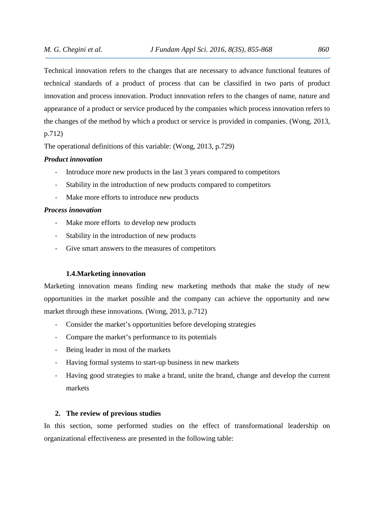Technical innovation refers to the changes that are necessary to advance functional features of technical standards of a product of process that can be classified in two parts of product innovation and process innovation. Product innovation refers to the changes of name, nature and appearance of a product or service produced by the companies which process innovation refers to the changes of the method by which a product or service is provided in companies. (Wong, 2013, p.712)

The operational definitions of this variable: (Wong, 2013, p.729)

## *Product innovation*

- Introduce more new products in the last 3 years compared to competitors
- Stability in the introduction of new products compared to competitors
- Make more efforts to introduce new products

#### *Process innovation*

- Make more efforts to develop new products
- Stability in the introduction of new products
- Give smart answers to the measures of competitors

#### **1.4.Marketing innovation**

Marketing innovation means finding new marketing methods that make the study of new opportunities in the market possible and the company can achieve the opportunity and new market through these innovations. (Wong, 2013, p.712)

- Consider the market's opportunities before developing strategies
- Compare the market's performance to its potentials
- Being leader in most of the markets
- Having formal systems to start-up business in new markets
- Having good strategies to make a brand, unite the brand, change and develop the current markets

#### **2. The review of previous studies**

In this section, some performed studies on the effect of transformational leadership on organizational effectiveness are presented in the following table: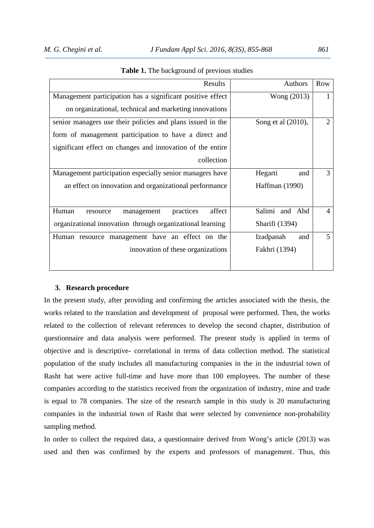| Authors            | <b>Row</b>     |
|--------------------|----------------|
| Wong (2013)        | 1              |
|                    |                |
| Song et al (2010), | $\overline{2}$ |
|                    |                |
|                    |                |
|                    |                |
| Hegarti<br>and     | 3              |
| Haffman (1990)     |                |
|                    |                |
| Salimi and Abd     | 4              |
| Sharifi (1394)     |                |
| Izadpanah<br>and   | 5              |
| Fakhri (1394)      |                |
|                    |                |
|                    |                |

#### **Table 1.** The background of previous studies

#### **3. Research procedure**

In the present study, after providing and confirming the articles associated with the thesis, the works related to the translation and development of proposal were performed. Then, the works related to the collection of relevant references to develop the second chapter, distribution of questionnaire and data analysis were performed. The present study is applied in terms of objective and is descriptive- correlational in terms of data collection method. The statistical population of the study includes all manufacturing companies in the in the industrial town of Rasht hat were active full-time and have more than 100 employees. The number of these companies according to the statistics received from the organization of industry, mine and trade is equal to 78 companies. The size of the research sample in this study is 20 manufacturing companies in the industrial town of Rasht that were selected by convenience non-probability sampling method.

In order to collect the required data, a questionnaire derived from Wong's article (2013) was used and then was confirmed by the experts and professors of management. Thus, this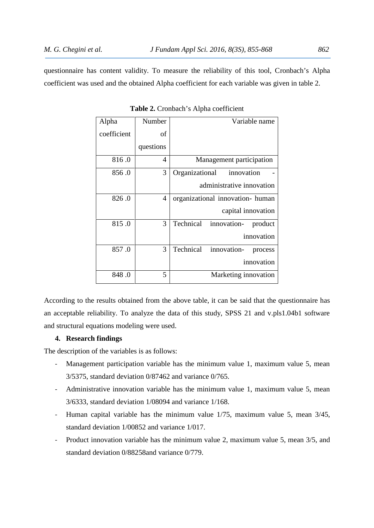questionnaire has content validity. To measure the reliability of this tool, Cronbach's Alpha coefficient was used and the obtained Alpha coefficient for each variable was given in table 2.

| Alpha       | Number    | Variable name                       |
|-------------|-----------|-------------------------------------|
| coefficient | of        |                                     |
|             | questions |                                     |
| 816.0       | 4         | Management participation            |
| 856.0       | 3         | Organizational<br>innovation        |
|             |           | administrative innovation           |
| 826.0       | 4         | organizational innovation- human    |
|             |           | capital innovation                  |
| 815.0       | 3         | Technical innovation-<br>product    |
|             |           | innovation                          |
| 857.0       | 3         | Technical<br>innovation-<br>process |
|             |           | innovation                          |
| 848.0       | 5         | Marketing innovation                |

**Table 2.** Cronbach's Alpha coefficient

According to the results obtained from the above table, it can be said that the questionnaire has an acceptable reliability. To analyze the data of this study, SPSS 21 and v.pls1.04b1 software and structural equations modeling were used.

#### **4. Research findings**

The description of the variables is as follows:

- Management participation variable has the minimum value 1, maximum value 5, mean 3/5375, standard deviation 0/87462 and variance 0/765.
- Administrative innovation variable has the minimum value 1, maximum value 5, mean 3/6333, standard deviation 1/08094 and variance 1/168.
- Human capital variable has the minimum value 1/75, maximum value 5, mean 3/45, standard deviation 1/00852 and variance 1/017.
- Product innovation variable has the minimum value 2, maximum value 5, mean 3/5, and standard deviation 0/88258and variance 0/779.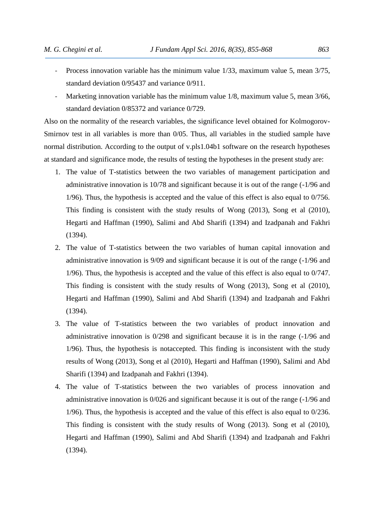- Process innovation variable has the minimum value 1/33, maximum value 5, mean 3/75, standard deviation 0/95437 and variance 0/911.
- Marketing innovation variable has the minimum value 1/8, maximum value 5, mean 3/66, standard deviation 0/85372 and variance 0/729.

Also on the normality of the research variables, the significance level obtained for Kolmogorov- Smirnov test in all variables is more than 0/05. Thus, all variables in the studied sample have normal distribution. According to the output of v.pls1.04b1 software on the research hypotheses at standard and significance mode, the results of testing the hypotheses in the present study are:

- 1. The value of T-statistics between the two variables of management participation and administrative innovation is 10/78 and significant because it is out of the range (-1/96 and 1/96). Thus, the hypothesis is accepted and the value of this effect is also equal to 0/756. This finding is consistent with the study results of Wong (2013), Song et al (2010), Hegarti and Haffman (1990), Salimi and Abd Sharifi (1394) and Izadpanah and Fakhri (1394).
- 2. The value of T-statistics between the two variables of human capital innovation and administrative innovation is 9/09 and significant because it is out of the range (-1/96 and 1/96). Thus, the hypothesis is accepted and the value of this effect is also equal to 0/747. This finding is consistent with the study results of Wong (2013), Song et al (2010), Hegarti and Haffman (1990), Salimi and Abd Sharifi (1394) and Izadpanah and Fakhri (1394).
- 3. The value of T-statistics between the two variables of product innovation and administrative innovation is 0/298 and significant because it is in the range (-1/96 and 1/96). Thus, the hypothesis is notaccepted. This finding is inconsistent with the study results of Wong (2013), Song et al (2010), Hegarti and Haffman (1990), Salimi and Abd Sharifi (1394) and Izadpanah and Fakhri (1394).
- 4. The value of T-statistics between the two variables of process innovation and administrative innovation is 0/026 and significant because it is out of the range (-1/96 and 1/96). Thus, the hypothesis is accepted and the value of this effect is also equal to 0/236. This finding is consistent with the study results of Wong (2013). Song et al (2010), Hegarti and Haffman (1990), Salimi and Abd Sharifi (1394) and Izadpanah and Fakhri (1394).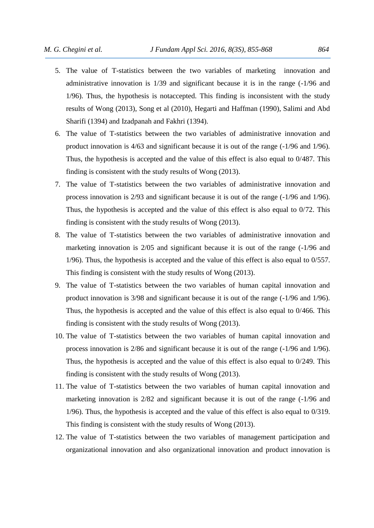- 5. The value of T-statistics between the two variables of marketing innovation and administrative innovation is 1/39 and significant because it is in the range (-1/96 and 1/96). Thus, the hypothesis is notaccepted. This finding is inconsistent with the study results of Wong (2013), Song et al (2010), Hegarti and Haffman (1990), Salimi and Abd Sharifi (1394) and Izadpanah and Fakhri (1394).
- 6. The value of T-statistics between the two variables of administrative innovation and product innovation is 4/63 and significant because it is out of the range (-1/96 and 1/96). Thus, the hypothesis is accepted and the value of this effect is also equal to 0/487. This finding is consistent with the study results of Wong (2013).
- 7. The value of T-statistics between the two variables of administrative innovation and process innovation is 2/93 and significant because it is out of the range (-1/96 and 1/96). Thus, the hypothesis is accepted and the value of this effect is also equal to 0/72. This finding is consistent with the study results of Wong (2013).
- 8. The value of T-statistics between the two variables of administrative innovation and marketing innovation is 2/05 and significant because it is out of the range (-1/96 and 1/96). Thus, the hypothesis is accepted and the value of this effect is also equal to 0/557. This finding is consistent with the study results of Wong (2013).
- 9. The value of T-statistics between the two variables of human capital innovation and product innovation is 3/98 and significant because it is out of the range (-1/96 and 1/96). Thus, the hypothesis is accepted and the value of this effect is also equal to 0/466. This finding is consistent with the study results of Wong (2013).
- 10. The value of T-statistics between the two variables of human capital innovation and process innovation is 2/86 and significant because it is out of the range (-1/96 and 1/96). Thus, the hypothesis is accepted and the value of this effect is also equal to 0/249. This finding is consistent with the study results of Wong (2013).
- 11. The value of T-statistics between the two variables of human capital innovation and marketing innovation is 2/82 and significant because it is out of the range (-1/96 and 1/96). Thus, the hypothesis is accepted and the value of this effect is also equal to 0/319. This finding is consistent with the study results of Wong (2013).
- 12. The value of T-statistics between the two variables of management participation and organizational innovation and also organizational innovation and product innovation is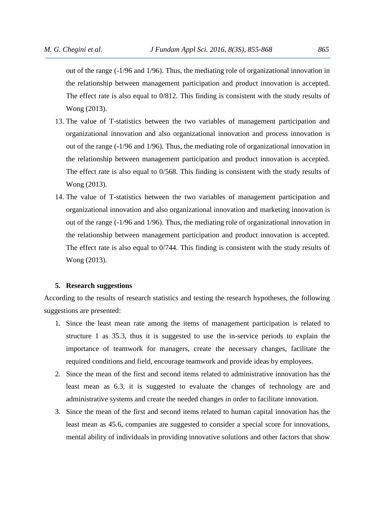out of the range (-1/96 and 1/96). Thus, the mediating role of organizational innovation in the relationship between management participation and product innovation is accepted. The effect rate is also equal to 0/812. This finding is consistent with the study results of Wong (2013).

- 13. The value of T-statistics between the two variables of management participation and organizational innovation and also organizational innovation and process innovation is out of the range (-1/96 and 1/96). Thus, the mediating role of organizational innovation in the relationship between management participation and product innovation is accepted. The effect rate is also equal to 0/568. This finding is consistent with the study results of Wong (2013).
- 14. The value of T-statistics between the two variables of management participation and organizational innovation and also organizational innovation and marketing innovation is out of the range (-1/96 and 1/96). Thus, the mediating role of organizational innovation in the relationship between management participation and product innovation is accepted. The effect rate is also equal to 0/744. This finding is consistent with the study results of Wong (2013).

#### **5. Research suggestions**

According to the results of research statistics and testing the research hypotheses, the following suggestions are presented:

- 1. Since the least mean rate among the items of management participation is related to structure 1 as 35.3, thus it is suggested to use the in-service periods to explain the importance of teamwork for managers, create the necessary changes, facilitate the required conditions and field, encourage teamwork and provide ideas by employees.
- 2. Since the mean of the first and second items related to administrative innovation has the least mean as 6.3, it is suggested to evaluate the changes of technology are and administrative systems and create the needed changes in order to facilitate innovation.
- 3. Since the mean of the first and second items related to human capital innovation has the least mean as 45.6, companies are suggested to consider a special score for innovations, mental ability of individuals in providing innovative solutions and other factors that show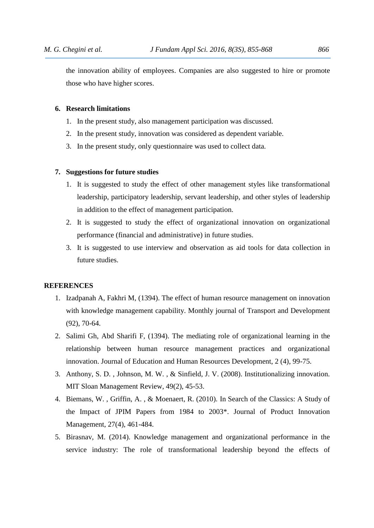the innovation ability of employees. Companies are also suggested to hire or promote those who have higher scores.

## **6. Research limitations**

- 1. In the present study, also management participation was discussed.
- 2. In the present study, innovation was considered as dependent variable.
- 3. In the present study, only questionnaire was used to collect data.

#### **7. Suggestions for future studies**

- 1. It is suggested to study the effect of other management styles like transformational leadership, participatory leadership, servant leadership, and other styles of leadership in addition to the effect of management participation.
- 2. It is suggested to study the effect of organizational innovation on organizational performance (financial and administrative) in future studies.
- 3. It is suggested to use interview and observation as aid tools for data collection in future studies.

## **REFERENCES**

- 1. Izadpanah A, Fakhri M, (1394). The effect of human resource management on innovation with knowledge management capability. Monthly journal of Transport and Development (92), 70-64.
- 2. Salimi Gh, Abd Sharifi F, (1394). The mediating role of organizational learning in the relationship between human resource management practices and organizational innovation. Journal of Education and Human Resources Development, 2 (4), 99-75.
- 3. Anthony, S. D. , Johnson, M. W. , & Sinfield, J. V. (2008). Institutionalizing innovation. MIT Sloan Management Review, 49(2), 45-53.
- 4. Biemans, W. , Griffin, A. , & Moenaert, R. (2010). In Search of the Classics: A Study of the Impact of JPIM Papers from 1984 to 2003\*. Journal of Product Innovation Management, 27(4), 461-484.
- 5. Birasnav, M. (2014). Knowledge management and organizational performance in the service industry: The role of transformational leadership beyond the effects of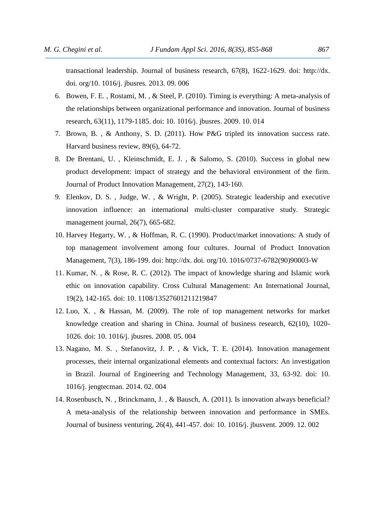transactional leadership. Journal of business research, 67(8), 1622-1629. doi: http://dx. doi. org/10. 1016/j. jbusres. 2013. 09. 006

- 6. Bowen, F. E. , Rostami, M. , & Steel, P. (2010). Timing is everything: A meta-analysis of the relationships between organizational performance and innovation. Journal of business research, 63(11), 1179-1185. doi: 10. 1016/j. jbusres. 2009. 10. 014
- 7. Brown, B. , & Anthony, S. D. (2011). How P&G tripled its innovation success rate. Harvard business review, 89(6), 64-72.
- 8. De Brentani, U. , Kleinschmidt, E. J. , & Salomo, S. (2010). Success in global new product development: impact of strategy and the behavioral environment of the firm. Journal of Product Innovation Management, 27(2), 143-160.
- 9. Elenkov, D. S. , Judge, W. , & Wright, P. (2005). Strategic leadership and executive innovation influence: an international multi‐cluster comparative study. Strategic management journal, 26(7), 665-682.
- 10. Harvey Hegarty, W. , & Hoffman, R. C. (1990). Product/market innovations: A study of top management involvement among four cultures. Journal of Product Innovation Management, 7(3), 186-199. doi: http://dx. doi. org/10. 1016/0737-6782(90)90003-W
- 11. Kumar, N. , & Rose, R. C. (2012). The impact of knowledge sharing and Islamic work ethic on innovation capability. Cross Cultural Management: An International Journal, 19(2), 142-165. doi: 10. 1108/13527601211219847
- 12. Luo, X. , & Hassan, M. (2009). The role of top management networks for market knowledge creation and sharing in China. Journal of business research, 62(10), 1020- 1026. doi: 10. 1016/j. jbusres. 2008. 05. 004
- 13. Nagano, M. S. , Stefanovitz, J. P. , & Vick, T. E. (2014). Innovation management processes, their internal organizational elements and contextual factors: An investigation in Brazil. Journal of Engineering and Technology Management, 33, 63-92. doi: 10. 1016/j. jengtecman. 2014. 02. 004
- 14. Rosenbusch, N. , Brinckmann, J. , & Bausch, A. (2011). Is innovation always beneficial? A meta-analysis of the relationship between innovation and performance in SMEs. Journal of business venturing, 26(4), 441-457. doi: 10. 1016/j. jbusvent. 2009. 12. 002